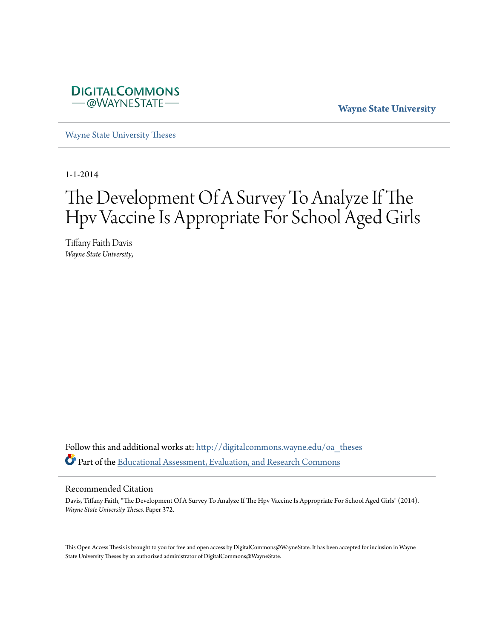

**Wayne State University**

[Wayne State University Theses](http://digitalcommons.wayne.edu/oa_theses?utm_source=digitalcommons.wayne.edu%2Foa_theses%2F372&utm_medium=PDF&utm_campaign=PDFCoverPages)

1-1-2014

# The Development Of A Survey To Analyze If The Hpv Vaccine Is Appropriate For School Aged Girls

Tiffany Faith Davis *Wayne State University*,

Follow this and additional works at: [http://digitalcommons.wayne.edu/oa\\_theses](http://digitalcommons.wayne.edu/oa_theses?utm_source=digitalcommons.wayne.edu%2Foa_theses%2F372&utm_medium=PDF&utm_campaign=PDFCoverPages) Part of the [Educational Assessment, Evaluation, and Research Commons](http://network.bepress.com/hgg/discipline/796?utm_source=digitalcommons.wayne.edu%2Foa_theses%2F372&utm_medium=PDF&utm_campaign=PDFCoverPages)

#### Recommended Citation

Davis, Tiffany Faith, "The Development Of A Survey To Analyze If The Hpv Vaccine Is Appropriate For School Aged Girls" (2014). *Wayne State University Theses.* Paper 372.

This Open Access Thesis is brought to you for free and open access by DigitalCommons@WayneState. It has been accepted for inclusion in Wayne State University Theses by an authorized administrator of DigitalCommons@WayneState.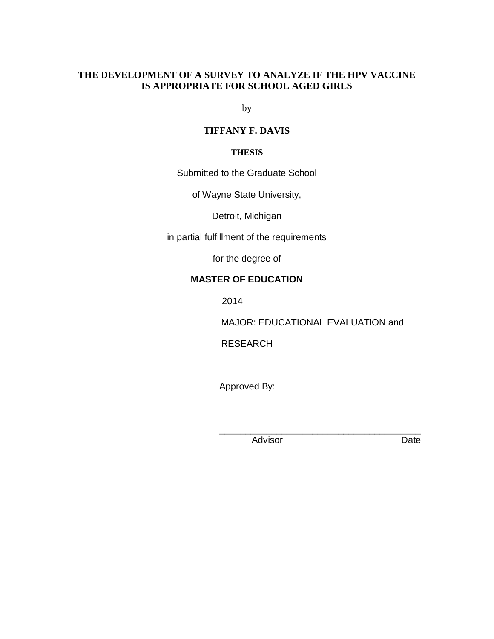## **THE DEVELOPMENT OF A SURVEY TO ANALYZE IF THE HPV VACCINE IS APPROPRIATE FOR SCHOOL AGED GIRLS**

by

## **TIFFANY F. DAVIS**

#### **THESIS**

Submitted to the Graduate School

of Wayne State University,

Detroit, Michigan

in partial fulfillment of the requirements

for the degree of

## **MASTER OF EDUCATION**

2014

MAJOR: EDUCATIONAL EVALUATION and

RESEARCH

Approved By:

 $\frac{1}{\sqrt{2\pi}}$  ,  $\frac{1}{\sqrt{2\pi}}$  ,  $\frac{1}{\sqrt{2\pi}}$  ,  $\frac{1}{\sqrt{2\pi}}$  ,  $\frac{1}{\sqrt{2\pi}}$  ,  $\frac{1}{\sqrt{2\pi}}$  ,  $\frac{1}{\sqrt{2\pi}}$  ,  $\frac{1}{\sqrt{2\pi}}$  ,  $\frac{1}{\sqrt{2\pi}}$  ,  $\frac{1}{\sqrt{2\pi}}$  ,  $\frac{1}{\sqrt{2\pi}}$  ,  $\frac{1}{\sqrt{2\pi}}$  ,  $\frac{1}{\sqrt{2\pi}}$  ,

Advisor Date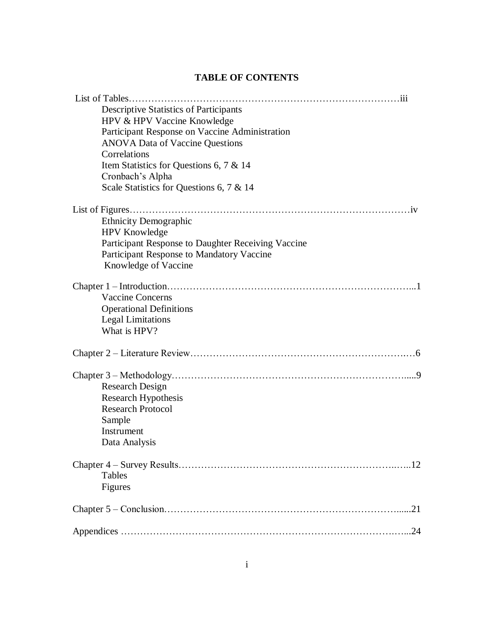## **TABLE OF CONTENTS**

| <b>Descriptive Statistics of Participants</b>      |     |
|----------------------------------------------------|-----|
| HPV & HPV Vaccine Knowledge                        |     |
| Participant Response on Vaccine Administration     |     |
| <b>ANOVA Data of Vaccine Questions</b>             |     |
| Correlations                                       |     |
| Item Statistics for Questions 6, 7 & 14            |     |
| Cronbach's Alpha                                   |     |
| Scale Statistics for Questions 6, 7 & 14           |     |
|                                                    |     |
|                                                    |     |
| <b>Ethnicity Demographic</b>                       |     |
| <b>HPV</b> Knowledge                               |     |
| Participant Response to Daughter Receiving Vaccine |     |
| Participant Response to Mandatory Vaccine          |     |
| Knowledge of Vaccine                               |     |
|                                                    |     |
|                                                    |     |
| <b>Vaccine Concerns</b>                            |     |
| <b>Operational Definitions</b>                     |     |
| <b>Legal Limitations</b>                           |     |
| What is HPV?                                       |     |
|                                                    |     |
|                                                    |     |
|                                                    |     |
| <b>Research Design</b>                             |     |
| <b>Research Hypothesis</b>                         |     |
| <b>Research Protocol</b>                           |     |
| Sample                                             |     |
| Instrument                                         |     |
| Data Analysis                                      |     |
|                                                    |     |
|                                                    | .12 |
| Tables                                             |     |
| Figures                                            |     |
|                                                    | .21 |
|                                                    | .24 |
|                                                    |     |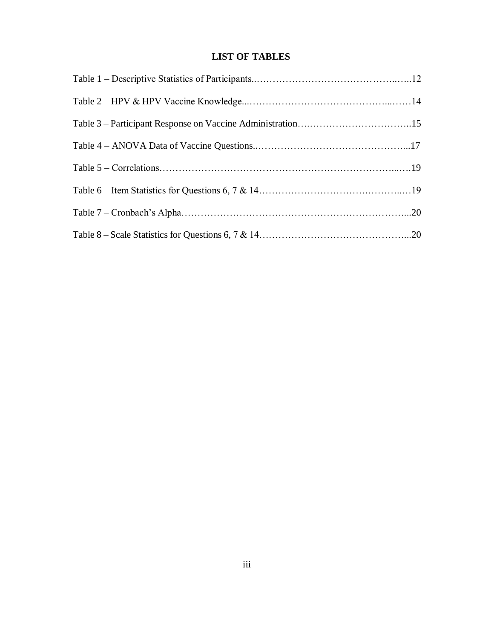## **LIST OF TABLES**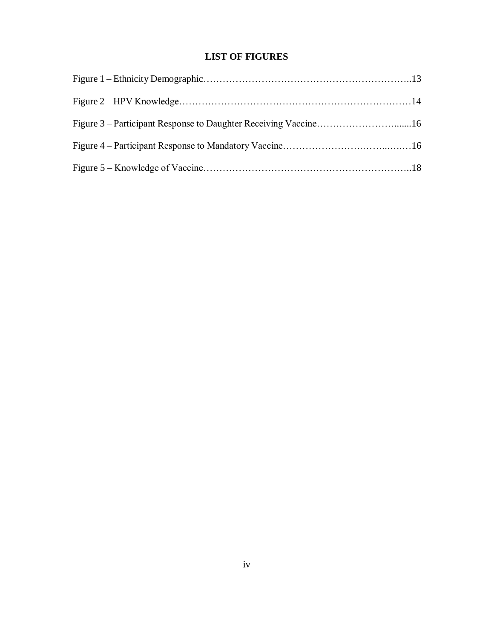## **LIST OF FIGURES**

| Figure 3 – Participant Response to Daughter Receiving Vaccine16 |  |
|-----------------------------------------------------------------|--|
|                                                                 |  |
|                                                                 |  |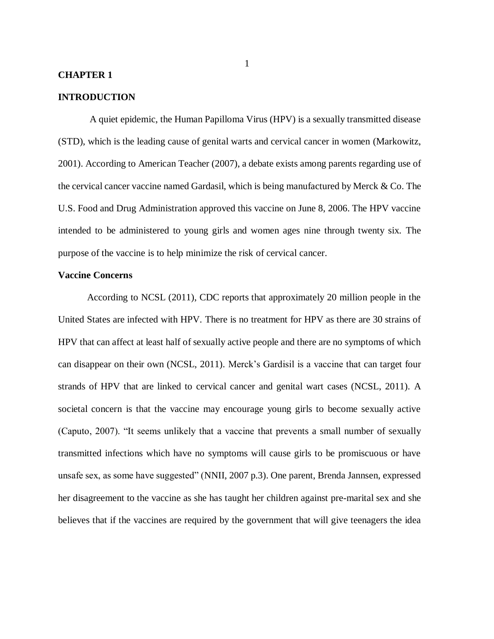#### **CHAPTER 1**

#### **INTRODUCTION**

A quiet epidemic, the Human Papilloma Virus (HPV) is a sexually transmitted disease (STD), which is the leading cause of genital warts and cervical cancer in women (Markowitz, 2001). According to American Teacher (2007), a debate exists among parents regarding use of the cervical cancer vaccine named Gardasil, which is being manufactured by Merck & Co. The U.S. Food and Drug Administration approved this vaccine on June 8, 2006. The HPV vaccine intended to be administered to young girls and women ages nine through twenty six. The purpose of the vaccine is to help minimize the risk of cervical cancer.

#### **Vaccine Concerns**

According to NCSL (2011), CDC reports that approximately 20 million people in the United States are infected with HPV. There is no treatment for HPV as there are 30 strains of HPV that can affect at least half of sexually active people and there are no symptoms of which can disappear on their own (NCSL, 2011). Merck's Gardisil is a vaccine that can target four strands of HPV that are linked to cervical cancer and genital wart cases (NCSL, 2011). A societal concern is that the vaccine may encourage young girls to become sexually active (Caputo, 2007). "It seems unlikely that a vaccine that prevents a small number of sexually transmitted infections which have no symptoms will cause girls to be promiscuous or have unsafe sex, as some have suggested" (NNII, 2007 p.3). One parent, Brenda Jannsen, expressed her disagreement to the vaccine as she has taught her children against pre-marital sex and she believes that if the vaccines are required by the government that will give teenagers the idea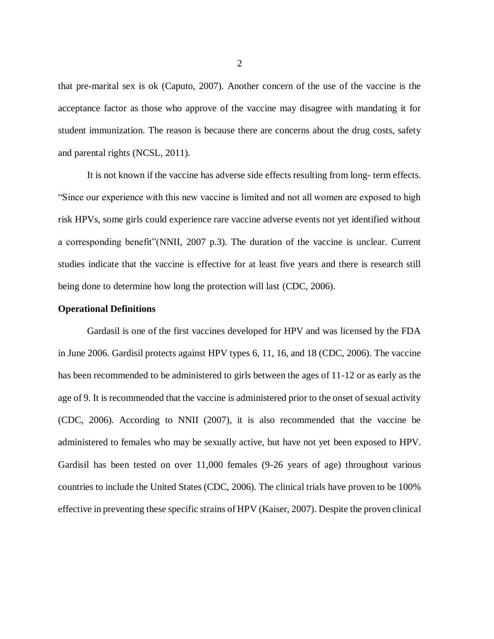that pre-marital sex is ok (Caputo, 2007). Another concern of the use of the vaccine is the acceptance factor as those who approve of the vaccine may disagree with mandating it for student immunization. The reason is because there are concerns about the drug costs, safety and parental rights (NCSL, 2011).

It is not known if the vaccine has adverse side effects resulting from long- term effects. "Since our experience with this new vaccine is limited and not all women are exposed to high risk HPVs, some girls could experience rare vaccine adverse events not yet identified without a corresponding benefit"(NNII, 2007 p.3). The duration of the vaccine is unclear. Current studies indicate that the vaccine is effective for at least five years and there is research still being done to determine how long the protection will last (CDC, 2006).

#### **Operational Definitions**

Gardasil is one of the first vaccines developed for HPV and was licensed by the FDA in June 2006. Gardisil protects against HPV types 6, 11, 16, and 18 (CDC, 2006). The vaccine has been recommended to be administered to girls between the ages of 11-12 or as early as the age of 9. It is recommended that the vaccine is administered prior to the onset of sexual activity (CDC, 2006). According to NNII (2007), it is also recommended that the vaccine be administered to females who may be sexually active, but have not yet been exposed to HPV. Gardisil has been tested on over 11,000 females (9-26 years of age) throughout various countries to include the United States (CDC, 2006). The clinical trials have proven to be 100% effective in preventing these specific strains of HPV (Kaiser, 2007). Despite the proven clinical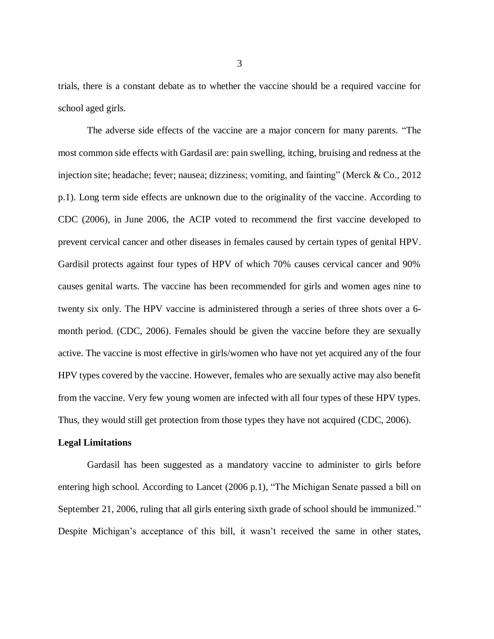trials, there is a constant debate as to whether the vaccine should be a required vaccine for school aged girls.

The adverse side effects of the vaccine are a major concern for many parents. "The most common side effects with Gardasil are: pain swelling, itching, bruising and redness at the injection site; headache; fever; nausea; dizziness; vomiting, and fainting" (Merck & Co., 2012 p.1). Long term side effects are unknown due to the originality of the vaccine. According to CDC (2006), in June 2006, the ACIP voted to recommend the first vaccine developed to prevent cervical cancer and other diseases in females caused by certain types of genital HPV. Gardisil protects against four types of HPV of which 70% causes cervical cancer and 90% causes genital warts. The vaccine has been recommended for girls and women ages nine to twenty six only. The HPV vaccine is administered through a series of three shots over a 6 month period. (CDC, 2006). Females should be given the vaccine before they are sexually active. The vaccine is most effective in girls/women who have not yet acquired any of the four HPV types covered by the vaccine. However, females who are sexually active may also benefit from the vaccine. Very few young women are infected with all four types of these HPV types. Thus, they would still get protection from those types they have not acquired (CDC, 2006).

#### **Legal Limitations**

Gardasil has been suggested as a mandatory vaccine to administer to girls before entering high school. According to Lancet (2006 p.1), "The Michigan Senate passed a bill on September 21, 2006, ruling that all girls entering sixth grade of school should be immunized." Despite Michigan's acceptance of this bill, it wasn't received the same in other states,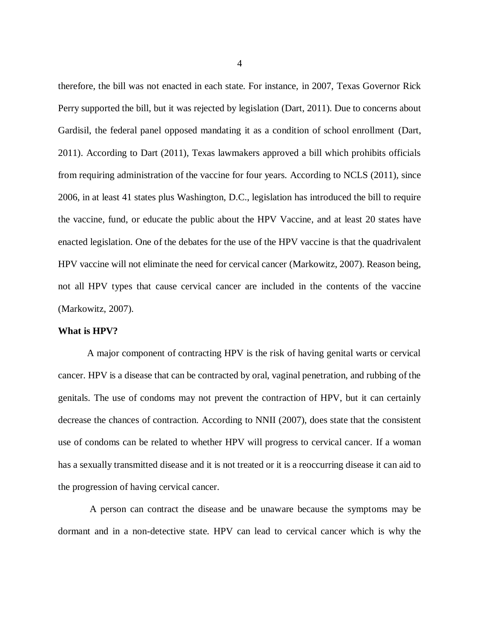therefore, the bill was not enacted in each state. For instance, in 2007, Texas Governor Rick Perry supported the bill, but it was rejected by legislation (Dart, 2011). Due to concerns about Gardisil, the federal panel opposed mandating it as a condition of school enrollment (Dart, 2011). According to Dart (2011), Texas lawmakers approved a bill which prohibits officials from requiring administration of the vaccine for four years. According to NCLS (2011), since 2006, in at least 41 states plus Washington, D.C., legislation has introduced the bill to require the vaccine, fund, or educate the public about the HPV Vaccine, and at least 20 states have enacted legislation. One of the debates for the use of the HPV vaccine is that the quadrivalent HPV vaccine will not eliminate the need for cervical cancer (Markowitz, 2007). Reason being, not all HPV types that cause cervical cancer are included in the contents of the vaccine (Markowitz, 2007).

#### **What is HPV?**

A major component of contracting HPV is the risk of having genital warts or cervical cancer. HPV is a disease that can be contracted by oral, vaginal penetration, and rubbing of the genitals. The use of condoms may not prevent the contraction of HPV, but it can certainly decrease the chances of contraction. According to NNII (2007), does state that the consistent use of condoms can be related to whether HPV will progress to cervical cancer. If a woman has a sexually transmitted disease and it is not treated or it is a reoccurring disease it can aid to the progression of having cervical cancer.

A person can contract the disease and be unaware because the symptoms may be dormant and in a non-detective state. HPV can lead to cervical cancer which is why the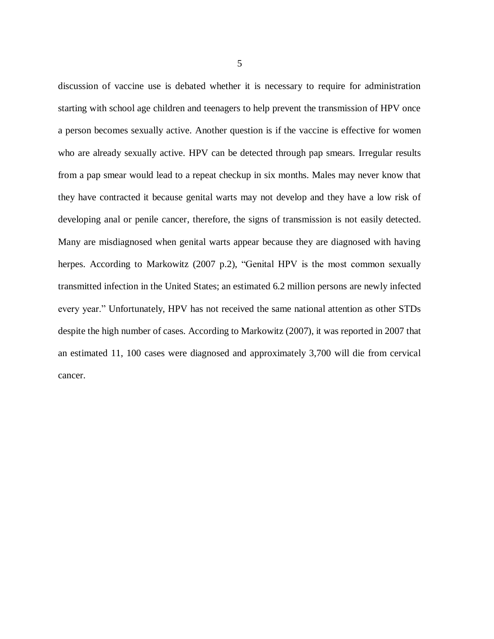discussion of vaccine use is debated whether it is necessary to require for administration starting with school age children and teenagers to help prevent the transmission of HPV once a person becomes sexually active. Another question is if the vaccine is effective for women who are already sexually active. HPV can be detected through pap smears. Irregular results from a pap smear would lead to a repeat checkup in six months. Males may never know that they have contracted it because genital warts may not develop and they have a low risk of developing anal or penile cancer, therefore, the signs of transmission is not easily detected. Many are misdiagnosed when genital warts appear because they are diagnosed with having herpes. According to Markowitz (2007 p.2), "Genital HPV is the most common sexually transmitted infection in the United States; an estimated 6.2 million persons are newly infected every year." Unfortunately, HPV has not received the same national attention as other STDs despite the high number of cases. According to Markowitz (2007), it was reported in 2007 that an estimated 11, 100 cases were diagnosed and approximately 3,700 will die from cervical cancer.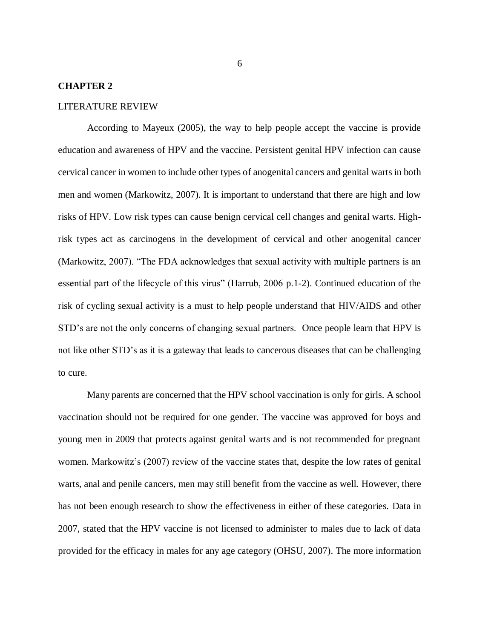#### **CHAPTER 2**

#### LITERATURE REVIEW

According to Mayeux (2005), the way to help people accept the vaccine is provide education and awareness of HPV and the vaccine. Persistent genital HPV infection can cause cervical cancer in women to include other types of anogenital cancers and genital warts in both men and women (Markowitz, 2007). It is important to understand that there are high and low risks of HPV. Low risk types can cause benign cervical cell changes and genital warts. Highrisk types act as carcinogens in the development of cervical and other anogenital cancer (Markowitz, 2007). "The FDA acknowledges that sexual activity with multiple partners is an essential part of the lifecycle of this virus" (Harrub, 2006 p.1-2). Continued education of the risk of cycling sexual activity is a must to help people understand that HIV/AIDS and other STD's are not the only concerns of changing sexual partners. Once people learn that HPV is not like other STD's as it is a gateway that leads to cancerous diseases that can be challenging to cure.

Many parents are concerned that the HPV school vaccination is only for girls. A school vaccination should not be required for one gender. The vaccine was approved for boys and young men in 2009 that protects against genital warts and is not recommended for pregnant women. Markowitz's (2007) review of the vaccine states that, despite the low rates of genital warts, anal and penile cancers, men may still benefit from the vaccine as well. However, there has not been enough research to show the effectiveness in either of these categories. Data in 2007, stated that the HPV vaccine is not licensed to administer to males due to lack of data provided for the efficacy in males for any age category (OHSU, 2007). The more information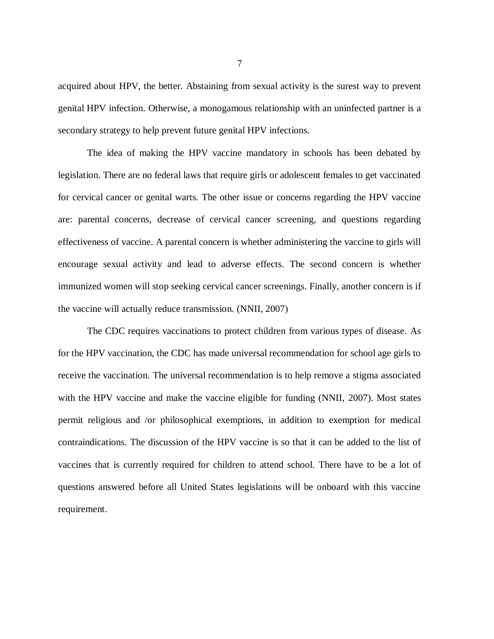acquired about HPV, the better. Abstaining from sexual activity is the surest way to prevent genital HPV infection. Otherwise, a monogamous relationship with an uninfected partner is a secondary strategy to help prevent future genital HPV infections.

The idea of making the HPV vaccine mandatory in schools has been debated by legislation. There are no federal laws that require girls or adolescent females to get vaccinated for cervical cancer or genital warts. The other issue or concerns regarding the HPV vaccine are: parental concerns, decrease of cervical cancer screening, and questions regarding effectiveness of vaccine. A parental concern is whether administering the vaccine to girls will encourage sexual activity and lead to adverse effects. The second concern is whether immunized women will stop seeking cervical cancer screenings. Finally, another concern is if the vaccine will actually reduce transmission. (NNII, 2007)

The CDC requires vaccinations to protect children from various types of disease. As for the HPV vaccination, the CDC has made universal recommendation for school age girls to receive the vaccination. The universal recommendation is to help remove a stigma associated with the HPV vaccine and make the vaccine eligible for funding (NNII, 2007). Most states permit religious and /or philosophical exemptions, in addition to exemption for medical contraindications. The discussion of the HPV vaccine is so that it can be added to the list of vaccines that is currently required for children to attend school. There have to be a lot of questions answered before all United States legislations will be onboard with this vaccine requirement.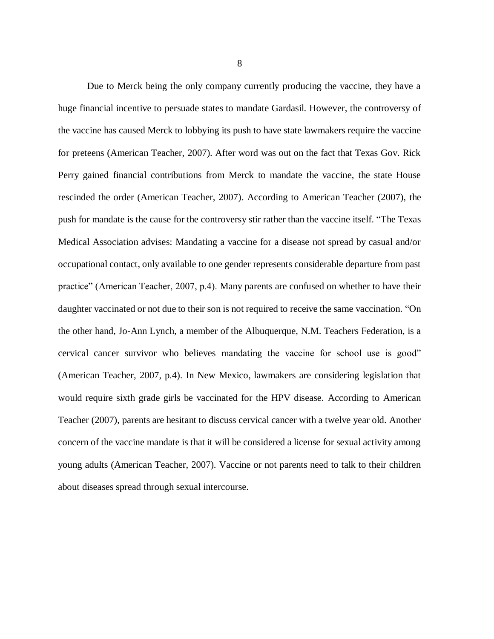Due to Merck being the only company currently producing the vaccine, they have a huge financial incentive to persuade states to mandate Gardasil. However, the controversy of the vaccine has caused Merck to lobbying its push to have state lawmakers require the vaccine for preteens (American Teacher, 2007). After word was out on the fact that Texas Gov. Rick Perry gained financial contributions from Merck to mandate the vaccine, the state House rescinded the order (American Teacher, 2007). According to American Teacher (2007), the push for mandate is the cause for the controversy stir rather than the vaccine itself. "The Texas Medical Association advises: Mandating a vaccine for a disease not spread by casual and/or occupational contact, only available to one gender represents considerable departure from past practice" (American Teacher, 2007, p.4). Many parents are confused on whether to have their daughter vaccinated or not due to their son is not required to receive the same vaccination. "On the other hand, Jo-Ann Lynch, a member of the Albuquerque, N.M. Teachers Federation, is a cervical cancer survivor who believes mandating the vaccine for school use is good" (American Teacher, 2007, p.4). In New Mexico, lawmakers are considering legislation that would require sixth grade girls be vaccinated for the HPV disease. According to American Teacher (2007), parents are hesitant to discuss cervical cancer with a twelve year old. Another concern of the vaccine mandate is that it will be considered a license for sexual activity among young adults (American Teacher, 2007). Vaccine or not parents need to talk to their children about diseases spread through sexual intercourse.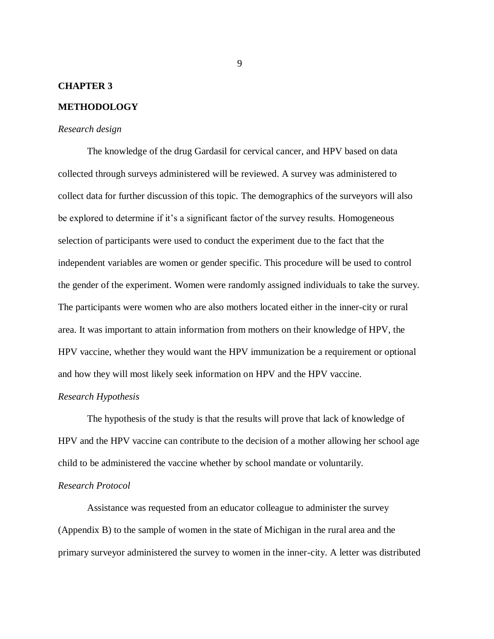#### **CHAPTER 3**

#### **METHODOLOGY**

#### *Research design*

The knowledge of the drug Gardasil for cervical cancer, and HPV based on data collected through surveys administered will be reviewed. A survey was administered to collect data for further discussion of this topic. The demographics of the surveyors will also be explored to determine if it's a significant factor of the survey results. Homogeneous selection of participants were used to conduct the experiment due to the fact that the independent variables are women or gender specific. This procedure will be used to control the gender of the experiment. Women were randomly assigned individuals to take the survey. The participants were women who are also mothers located either in the inner-city or rural area. It was important to attain information from mothers on their knowledge of HPV, the HPV vaccine, whether they would want the HPV immunization be a requirement or optional and how they will most likely seek information on HPV and the HPV vaccine.

#### *Research Hypothesis*

The hypothesis of the study is that the results will prove that lack of knowledge of HPV and the HPV vaccine can contribute to the decision of a mother allowing her school age child to be administered the vaccine whether by school mandate or voluntarily.

#### *Research Protocol*

Assistance was requested from an educator colleague to administer the survey (Appendix B) to the sample of women in the state of Michigan in the rural area and the primary surveyor administered the survey to women in the inner-city. A letter was distributed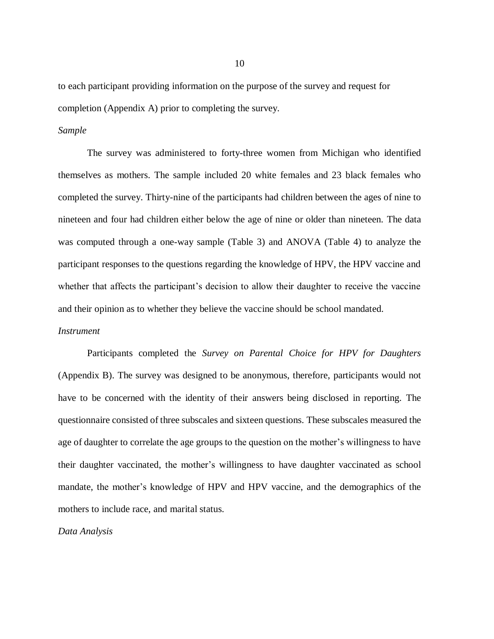to each participant providing information on the purpose of the survey and request for completion (Appendix A) prior to completing the survey.

#### *Sample*

The survey was administered to forty-three women from Michigan who identified themselves as mothers. The sample included 20 white females and 23 black females who completed the survey. Thirty-nine of the participants had children between the ages of nine to nineteen and four had children either below the age of nine or older than nineteen. The data was computed through a one-way sample (Table 3) and ANOVA (Table 4) to analyze the participant responses to the questions regarding the knowledge of HPV, the HPV vaccine and whether that affects the participant's decision to allow their daughter to receive the vaccine and their opinion as to whether they believe the vaccine should be school mandated.

#### *Instrument*

Participants completed the *Survey on Parental Choice for HPV for Daughters* (Appendix B). The survey was designed to be anonymous, therefore, participants would not have to be concerned with the identity of their answers being disclosed in reporting. The questionnaire consisted of three subscales and sixteen questions. These subscales measured the age of daughter to correlate the age groups to the question on the mother's willingness to have their daughter vaccinated, the mother's willingness to have daughter vaccinated as school mandate, the mother's knowledge of HPV and HPV vaccine, and the demographics of the mothers to include race, and marital status.

*Data Analysis*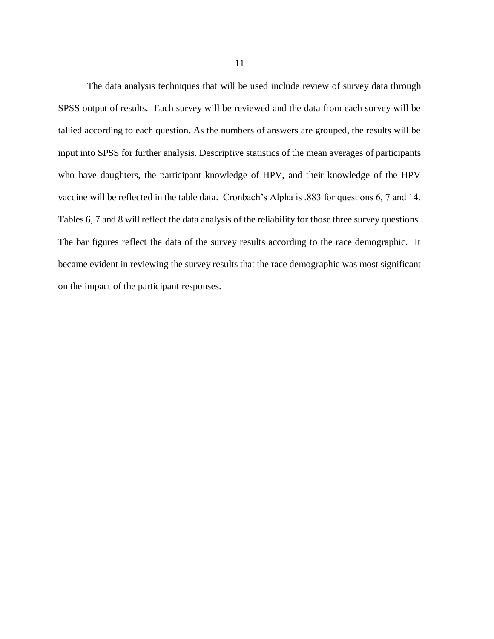The data analysis techniques that will be used include review of survey data through SPSS output of results. Each survey will be reviewed and the data from each survey will be tallied according to each question. As the numbers of answers are grouped, the results will be input into SPSS for further analysis. Descriptive statistics of the mean averages of participants who have daughters, the participant knowledge of HPV, and their knowledge of the HPV vaccine will be reflected in the table data. Cronbach's Alpha is .883 for questions 6, 7 and 14. Tables 6, 7 and 8 will reflect the data analysis of the reliability for those three survey questions. The bar figures reflect the data of the survey results according to the race demographic. It became evident in reviewing the survey results that the race demographic was most significant on the impact of the participant responses.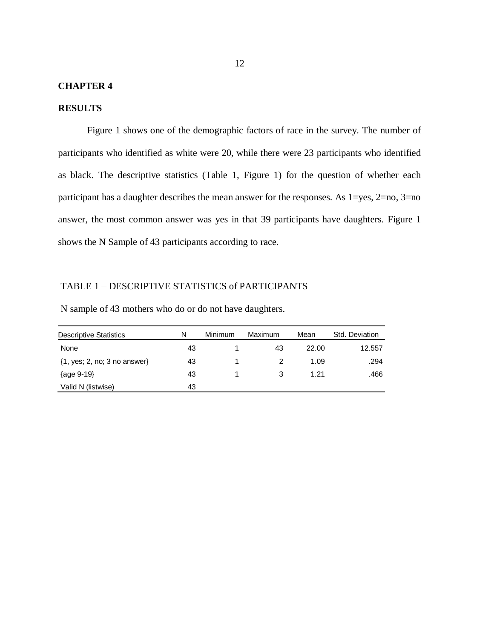#### **CHAPTER 4**

#### **RESULTS**

Figure 1 shows one of the demographic factors of race in the survey. The number of participants who identified as white were 20, while there were 23 participants who identified as black. The descriptive statistics (Table 1, Figure 1) for the question of whether each participant has a daughter describes the mean answer for the responses. As 1=yes, 2=no, 3=no answer, the most common answer was yes in that 39 participants have daughters. Figure 1 shows the N Sample of 43 participants according to race.

#### TABLE 1 – DESCRIPTIVE STATISTICS of PARTICIPANTS

N sample of 43 mothers who do or do not have daughters.

| Descriptive Statistics                                 | N  | Minimum | Maximum | Mean  | Std. Deviation |
|--------------------------------------------------------|----|---------|---------|-------|----------------|
| None                                                   | 43 |         | 43      | 22.00 | 12.557         |
| $\{1, \text{yes}; 2, \text{no}; 3 \text{ no answer}\}$ | 43 |         |         | 1.09  | .294           |
| {age 9-19}                                             | 43 |         |         | 1 21  | .466           |
| Valid N (listwise)                                     | 43 |         |         |       |                |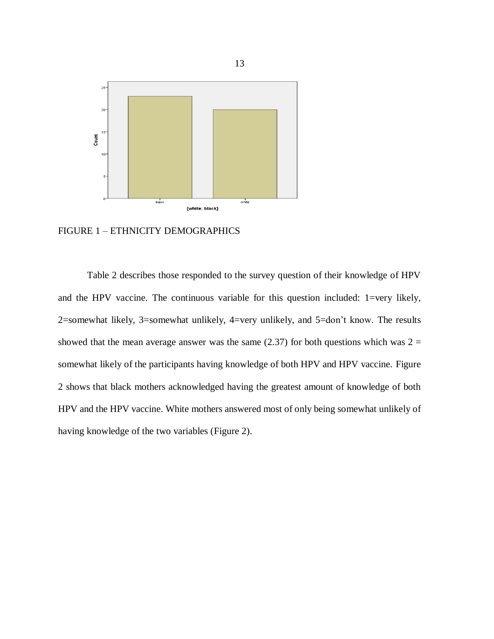

FIGURE 1 – ETHNICITY DEMOGRAPHICS

Table 2 describes those responded to the survey question of their knowledge of HPV and the HPV vaccine. The continuous variable for this question included: 1=very likely, 2=somewhat likely, 3=somewhat unlikely, 4=very unlikely, and 5=don't know. The results showed that the mean average answer was the same (2.37) for both questions which was  $2 =$ somewhat likely of the participants having knowledge of both HPV and HPV vaccine. Figure 2 shows that black mothers acknowledged having the greatest amount of knowledge of both HPV and the HPV vaccine. White mothers answered most of only being somewhat unlikely of having knowledge of the two variables (Figure 2).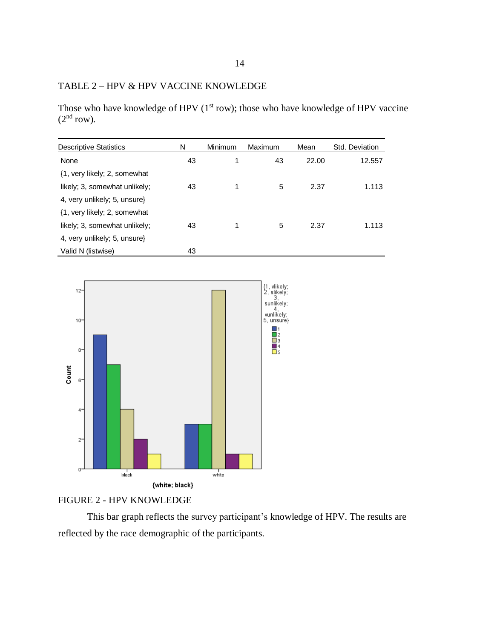## TABLE 2 – HPV & HPV VACCINE KNOWLEDGE

Those who have knowledge of HPV (1<sup>st</sup> row); those who have knowledge of HPV vaccine  $(2<sup>nd</sup> row).$ 

| <b>Descriptive Statistics</b> | N  | Minimum | Maximum | Mean  | Std. Deviation |
|-------------------------------|----|---------|---------|-------|----------------|
| None                          | 43 |         | 43      | 22.00 | 12.557         |
| {1, very likely; 2, somewhat  |    |         |         |       |                |
| likely; 3, somewhat unlikely; | 43 |         | 5       | 2.37  | 1.113          |
| 4, very unlikely; 5, unsure}  |    |         |         |       |                |
| {1, very likely; 2, somewhat  |    |         |         |       |                |
| likely; 3, somewhat unlikely; | 43 |         | 5       | 2.37  | 1.113          |
| 4, very unlikely; 5, unsure}  |    |         |         |       |                |
| Valid N (listwise)            | 43 |         |         |       |                |



## FIGURE 2 - HPV KNOWLEDGE

This bar graph reflects the survey participant's knowledge of HPV. The results are reflected by the race demographic of the participants.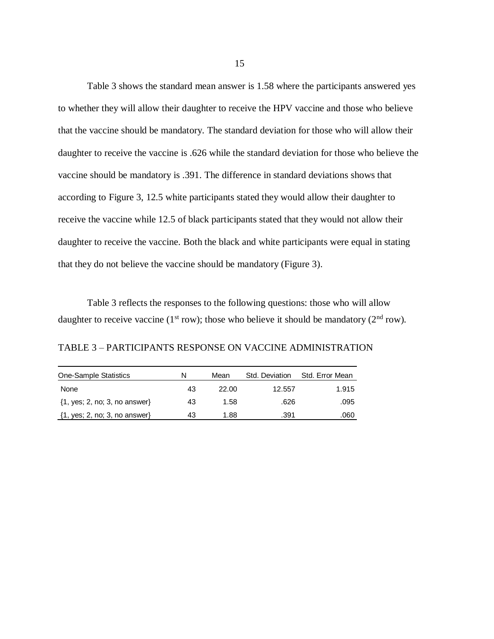Table 3 shows the standard mean answer is 1.58 where the participants answered yes to whether they will allow their daughter to receive the HPV vaccine and those who believe that the vaccine should be mandatory. The standard deviation for those who will allow their daughter to receive the vaccine is .626 while the standard deviation for those who believe the vaccine should be mandatory is .391. The difference in standard deviations shows that according to Figure 3, 12.5 white participants stated they would allow their daughter to receive the vaccine while 12.5 of black participants stated that they would not allow their daughter to receive the vaccine. Both the black and white participants were equal in stating that they do not believe the vaccine should be mandatory (Figure 3).

Table 3 reflects the responses to the following questions: those who will allow daughter to receive vaccine (1<sup>st</sup> row); those who believe it should be mandatory ( $2<sup>nd</sup>$  row).

TABLE 3 – PARTICIPANTS RESPONSE ON VACCINE ADMINISTRATION

| <b>One-Sample Statistics</b>      | N  | Mean  | Std. Deviation | Std. Error Mean |
|-----------------------------------|----|-------|----------------|-----------------|
| None                              | 43 | 22.00 | 12.557         | 1.915           |
| $\{1, yes; 2, no; 3, no answer\}$ | 43 | 1.58  | .626           | .095            |
| $\{1, yes; 2, no; 3, no answer\}$ | 43 | 1.88  | .391           | .060            |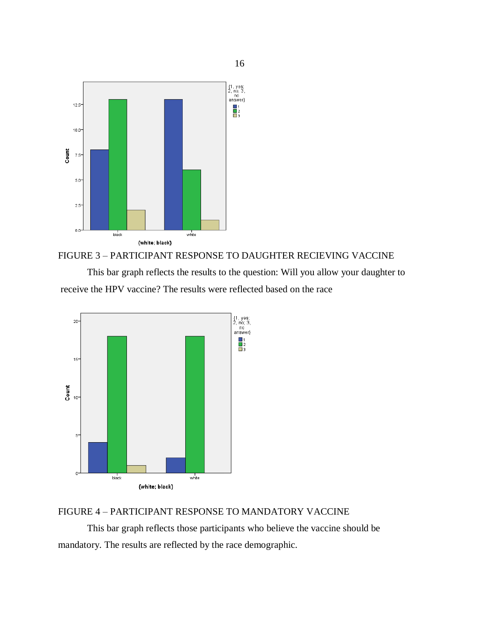

## FIGURE 3 – PARTICIPANT RESPONSE TO DAUGHTER RECIEVING VACCINE

This bar graph reflects the results to the question: Will you allow your daughter to receive the HPV vaccine? The results were reflected based on the race



## FIGURE 4 – PARTICIPANT RESPONSE TO MANDATORY VACCINE

This bar graph reflects those participants who believe the vaccine should be mandatory. The results are reflected by the race demographic.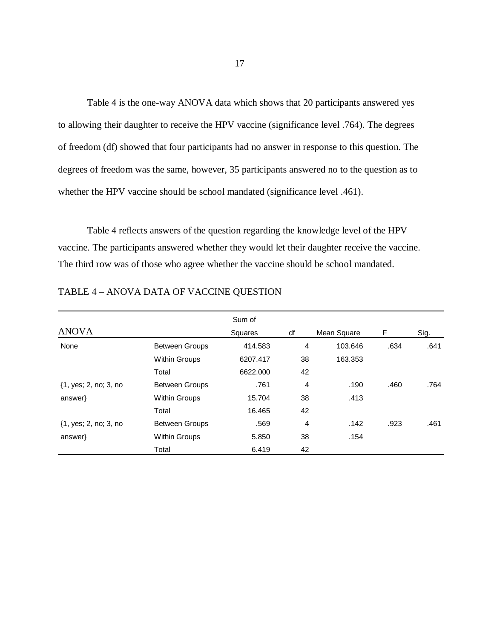Table 4 is the one-way ANOVA data which shows that 20 participants answered yes to allowing their daughter to receive the HPV vaccine (significance level .764). The degrees of freedom (df) showed that four participants had no answer in response to this question. The degrees of freedom was the same, however, 35 participants answered no to the question as to whether the HPV vaccine should be school mandated (significance level .461).

Table 4 reflects answers of the question regarding the knowledge level of the HPV vaccine. The participants answered whether they would let their daughter receive the vaccine. The third row was of those who agree whether the vaccine should be school mandated.

|                                                  |                       | Sum of         |    |             |      |      |
|--------------------------------------------------|-----------------------|----------------|----|-------------|------|------|
| <b>ANOVA</b>                                     |                       | <b>Squares</b> | df | Mean Square | F    | Sig. |
| None                                             | <b>Between Groups</b> | 414.583        | 4  | 103.646     | .634 | .641 |
|                                                  | <b>Within Groups</b>  | 6207.417       | 38 | 163.353     |      |      |
|                                                  | Total                 | 6622,000       | 42 |             |      |      |
| {1, yes; 2, no; 3, no                            | <b>Between Groups</b> | .761           | 4  | .190        | .460 | .764 |
| $answer\}$                                       | <b>Within Groups</b>  | 15.704         | 38 | .413        |      |      |
|                                                  | Total                 | 16.465         | 42 |             |      |      |
| $\{1, \text{yes}; 2, \text{no}; 3, \text{no} \}$ | <b>Between Groups</b> | .569           | 4  | .142        | .923 | .461 |
| $answer\}$                                       | <b>Within Groups</b>  | 5.850          | 38 | .154        |      |      |
|                                                  | Total                 | 6.419          | 42 |             |      |      |

TABLE 4 – ANOVA DATA OF VACCINE QUESTION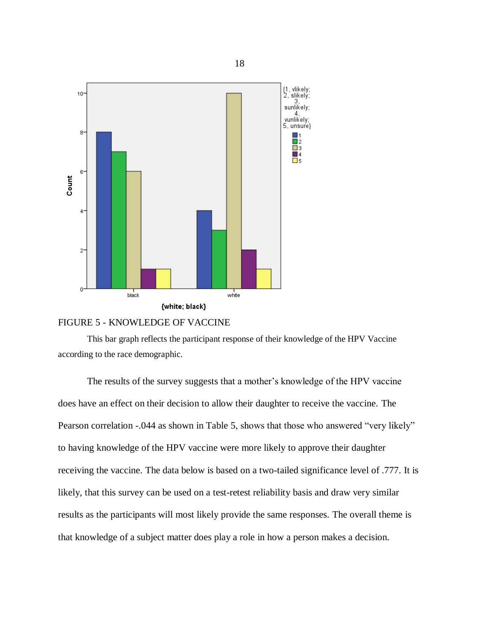

#### FIGURE 5 - KNOWLEDGE OF VACCINE

This bar graph reflects the participant response of their knowledge of the HPV Vaccine according to the race demographic.

The results of the survey suggests that a mother's knowledge of the HPV vaccine does have an effect on their decision to allow their daughter to receive the vaccine. The Pearson correlation -.044 as shown in Table 5, shows that those who answered "very likely" to having knowledge of the HPV vaccine were more likely to approve their daughter receiving the vaccine. The data below is based on a two-tailed significance level of .777. It is likely, that this survey can be used on a test-retest reliability basis and draw very similar results as the participants will most likely provide the same responses. The overall theme is that knowledge of a subject matter does play a role in how a person makes a decision.

18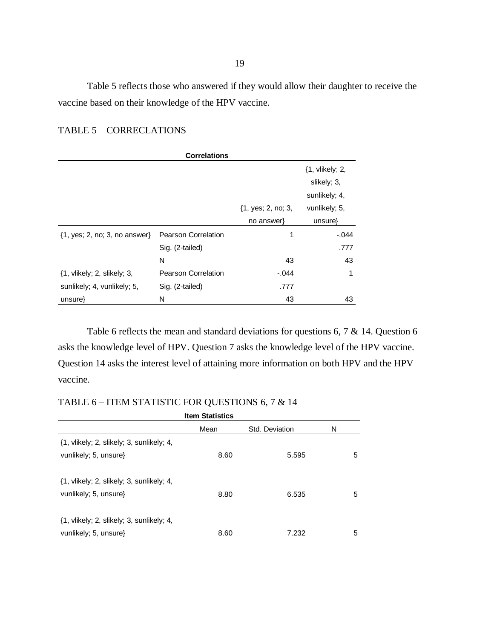Table 5 reflects those who answered if they would allow their daughter to receive the vaccine based on their knowledge of the HPV vaccine.

| <b>Correlations</b>                                     |                            |                                        |                                |  |
|---------------------------------------------------------|----------------------------|----------------------------------------|--------------------------------|--|
|                                                         |                            |                                        | {1, vlikely; 2,<br>slikely; 3, |  |
|                                                         |                            |                                        | sunlikely; 4,                  |  |
|                                                         |                            | $\{1, \text{yes}; 2, \text{no}; 3, \}$ | vunlikely; 5,                  |  |
|                                                         |                            | no answer                              | $unsure\}$                     |  |
| $\{1, \text{yes}; 2, \text{no}; 3, \text{no answer}\}\$ | <b>Pearson Correlation</b> | 1                                      | $-.044$                        |  |
|                                                         | Sig. (2-tailed)            |                                        | .777                           |  |
|                                                         | N                          | 43                                     | 43                             |  |
| $\{1, \text{vlikely}; 2, \text{slikely}; 3, \}$         | <b>Pearson Correlation</b> | $-.044$                                | 1                              |  |
| sunlikely; 4, vunlikely; 5,                             | Sig. (2-tailed)            | .777                                   |                                |  |
| unsure}                                                 | N                          | 43                                     | 43                             |  |

## TABLE 5 – CORRECLATIONS

Table 6 reflects the mean and standard deviations for questions 6, 7 & 14. Question 6 asks the knowledge level of HPV. Question 7 asks the knowledge level of the HPV vaccine. Question 14 asks the interest level of attaining more information on both HPV and the HPV vaccine.

## TABLE 6 – ITEM STATISTIC FOR QUESTIONS 6, 7 & 14

| <b>Item Statistics</b>                                                                                |      |                |   |  |
|-------------------------------------------------------------------------------------------------------|------|----------------|---|--|
|                                                                                                       | Mean | Std. Deviation | N |  |
| $\{1, \text{vlikely}; 2, \text{slikely}; 3, \text{sunlikely}; 4, \text{} \}$<br>vunlikely; 5, unsure} | 8.60 | 5.595          | 5 |  |
| $\{1, \text{vlikely}; 2, \text{slikely}; 3, \text{sunlikely}; 4, \text{} \}$<br>vunlikely; 5, unsure} | 8.80 | 6.535          | 5 |  |
| $\{1, \text{vlikely}; 2, \text{slikely}; 3, \text{sunlikely}; 4, \text{} \}$<br>vunlikely; 5, unsure} | 8.60 | 7.232          | 5 |  |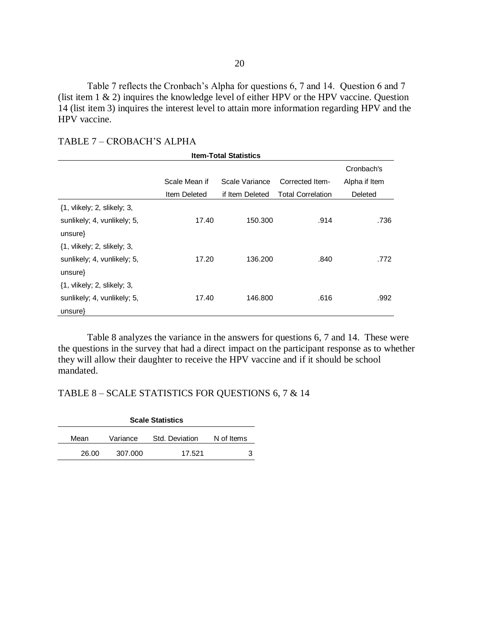Table 7 reflects the Cronbach's Alpha for questions 6, 7 and 14. Question 6 and 7 (list item 1 & 2) inquires the knowledge level of either HPV or the HPV vaccine. Question 14 (list item 3) inquires the interest level to attain more information regarding HPV and the HPV vaccine.

#### TABLE 7 – CROBACH'S ALPHA

| <b>Item-Total Statistics</b>                      |               |                 |                          |               |  |
|---------------------------------------------------|---------------|-----------------|--------------------------|---------------|--|
|                                                   |               |                 |                          | Cronbach's    |  |
|                                                   | Scale Mean if | Scale Variance  | Corrected Item-          | Alpha if Item |  |
|                                                   | Item Deleted  | if Item Deleted | <b>Total Correlation</b> | Deleted       |  |
| $\{1, \text{vlikely}; 2, \text{slikely}; 3, \}$   |               |                 |                          |               |  |
| sunlikely; 4, vunlikely; 5,                       | 17.40         | 150.300         | .914                     | .736          |  |
| unsure                                            |               |                 |                          |               |  |
| $\{1, \text{vlikely: } 2, \text{slikely: } 3, \}$ |               |                 |                          |               |  |
| sunlikely; 4, vunlikely; 5,                       | 17.20         | 136,200         | .840                     | .772          |  |
| unsure                                            |               |                 |                          |               |  |
| $\{1, \text{vlikely}; 2, \text{slikely}; 3, \}$   |               |                 |                          |               |  |
| sunlikely; 4, vunlikely; 5,                       | 17.40         | 146.800         | .616                     | .992          |  |
| unsure                                            |               |                 |                          |               |  |

Table 8 analyzes the variance in the answers for questions 6, 7 and 14. These were the questions in the survey that had a direct impact on the participant response as to whether they will allow their daughter to receive the HPV vaccine and if it should be school mandated.

## TABLE 8 – SCALE STATISTICS FOR QUESTIONS 6, 7 & 14

|       | <b>Scale Statistics</b> |                |            |  |  |
|-------|-------------------------|----------------|------------|--|--|
| Mean  | Variance                | Std. Deviation | N of Items |  |  |
| 26.00 | 307.000                 | 17.521         |            |  |  |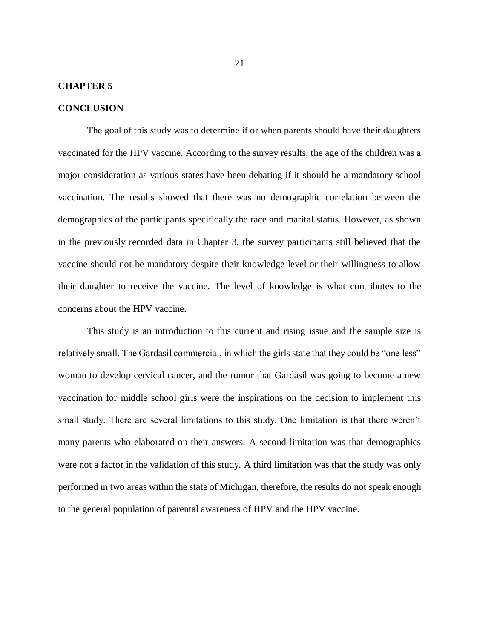#### **CHAPTER 5**

#### **CONCLUSION**

The goal of this study was to determine if or when parents should have their daughters vaccinated for the HPV vaccine. According to the survey results, the age of the children was a major consideration as various states have been debating if it should be a mandatory school vaccination. The results showed that there was no demographic correlation between the demographics of the participants specifically the race and marital status. However, as shown in the previously recorded data in Chapter 3, the survey participants still believed that the vaccine should not be mandatory despite their knowledge level or their willingness to allow their daughter to receive the vaccine. The level of knowledge is what contributes to the concerns about the HPV vaccine.

This study is an introduction to this current and rising issue and the sample size is relatively small. The Gardasil commercial, in which the girls state that they could be "one less" woman to develop cervical cancer, and the rumor that Gardasil was going to become a new vaccination for middle school girls were the inspirations on the decision to implement this small study. There are several limitations to this study. One limitation is that there weren't many parents who elaborated on their answers. A second limitation was that demographics were not a factor in the validation of this study. A third limitation was that the study was only performed in two areas within the state of Michigan, therefore, the results do not speak enough to the general population of parental awareness of HPV and the HPV vaccine.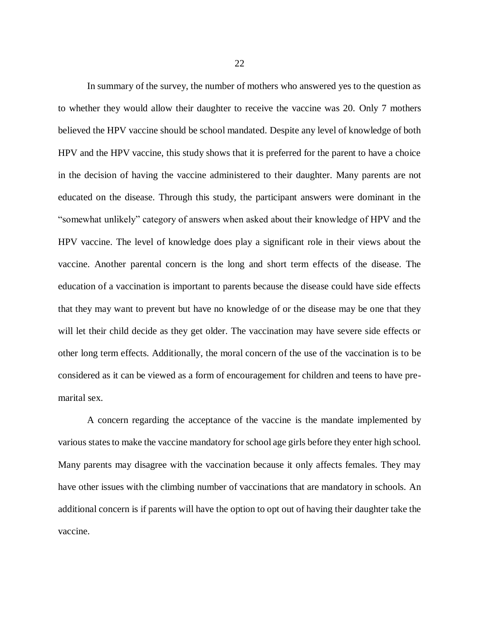In summary of the survey, the number of mothers who answered yes to the question as to whether they would allow their daughter to receive the vaccine was 20. Only 7 mothers believed the HPV vaccine should be school mandated. Despite any level of knowledge of both HPV and the HPV vaccine, this study shows that it is preferred for the parent to have a choice in the decision of having the vaccine administered to their daughter. Many parents are not educated on the disease. Through this study, the participant answers were dominant in the "somewhat unlikely" category of answers when asked about their knowledge of HPV and the HPV vaccine. The level of knowledge does play a significant role in their views about the vaccine. Another parental concern is the long and short term effects of the disease. The education of a vaccination is important to parents because the disease could have side effects that they may want to prevent but have no knowledge of or the disease may be one that they will let their child decide as they get older. The vaccination may have severe side effects or other long term effects. Additionally, the moral concern of the use of the vaccination is to be considered as it can be viewed as a form of encouragement for children and teens to have premarital sex.

A concern regarding the acceptance of the vaccine is the mandate implemented by various states to make the vaccine mandatory for school age girls before they enter high school. Many parents may disagree with the vaccination because it only affects females. They may have other issues with the climbing number of vaccinations that are mandatory in schools. An additional concern is if parents will have the option to opt out of having their daughter take the vaccine.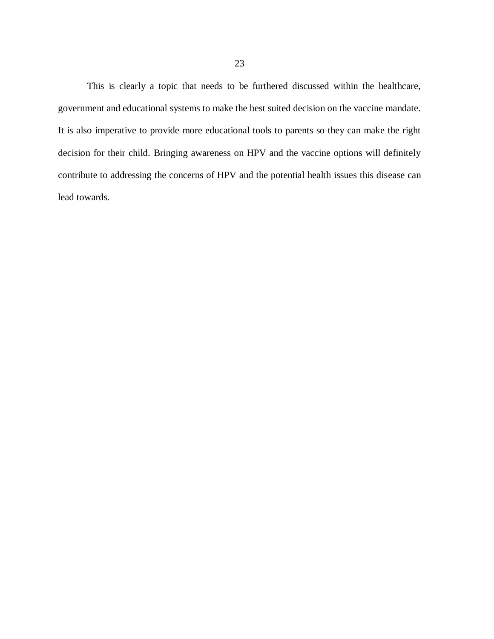This is clearly a topic that needs to be furthered discussed within the healthcare, government and educational systems to make the best suited decision on the vaccine mandate. It is also imperative to provide more educational tools to parents so they can make the right decision for their child. Bringing awareness on HPV and the vaccine options will definitely contribute to addressing the concerns of HPV and the potential health issues this disease can lead towards.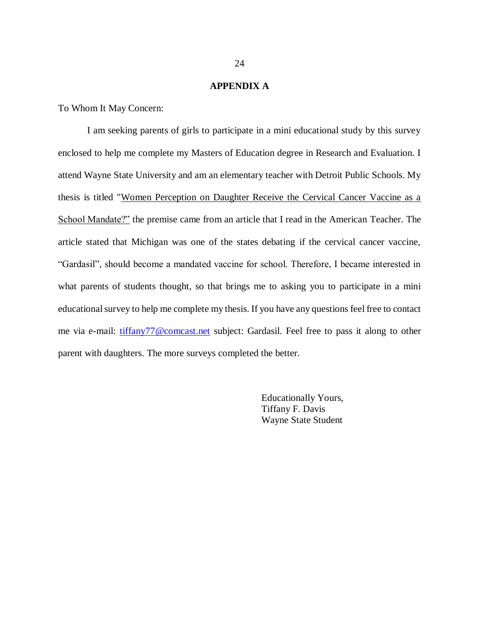#### **APPENDIX A**

To Whom It May Concern:

I am seeking parents of girls to participate in a mini educational study by this survey enclosed to help me complete my Masters of Education degree in Research and Evaluation. I attend Wayne State University and am an elementary teacher with Detroit Public Schools. My thesis is titled "Women Perception on Daughter Receive the Cervical Cancer Vaccine as a School Mandate?" the premise came from an article that I read in the American Teacher. The article stated that Michigan was one of the states debating if the cervical cancer vaccine, "Gardasil", should become a mandated vaccine for school. Therefore, I became interested in what parents of students thought, so that brings me to asking you to participate in a mini educational survey to help me complete my thesis. If you have any questions feel free to contact me via e-mail: [tiffany77@comcast.net](mailto:tiffany77@comcast.net) subject: Gardasil. Feel free to pass it along to other parent with daughters. The more surveys completed the better.

> Educationally Yours, Tiffany F. Davis Wayne State Student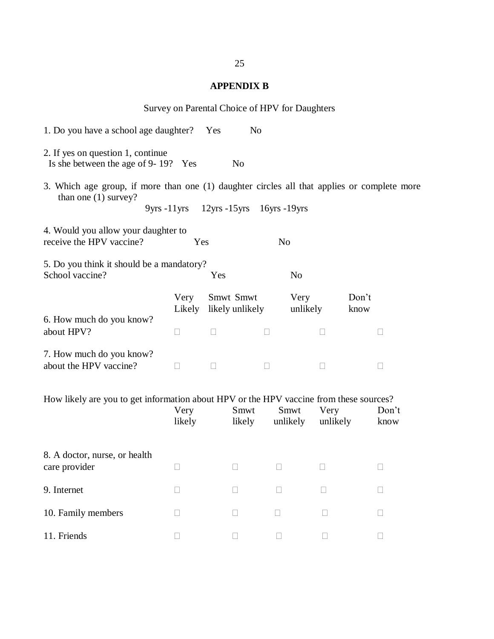## **APPENDIX B**

| Survey on Parental Choice of HPV for Daughters                                                                                                                                      |                |              |                              |                                                                |                  |              |               |   |
|-------------------------------------------------------------------------------------------------------------------------------------------------------------------------------------|----------------|--------------|------------------------------|----------------------------------------------------------------|------------------|--------------|---------------|---|
| 1. Do you have a school age daughter? Yes<br>N <sub>o</sub>                                                                                                                         |                |              |                              |                                                                |                  |              |               |   |
| 2. If yes on question 1, continue<br>Is she between the age of 9-19? Yes<br>N <sub>o</sub>                                                                                          |                |              |                              |                                                                |                  |              |               |   |
| 3. Which age group, if more than one (1) daughter circles all that applies or complete more<br>than one $(1)$ survey?<br>9yrs -11yrs 12yrs -15yrs 16yrs -19yrs                      |                |              |                              |                                                                |                  |              |               |   |
| 4. Would you allow your daughter to<br>receive the HPV vaccine?<br>Yes<br>N <sub>o</sub>                                                                                            |                |              |                              |                                                                |                  |              |               |   |
| 5. Do you think it should be a mandatory?<br>School vaccine?<br>N <sub>o</sub><br>Yes                                                                                               |                |              |                              |                                                                |                  |              |               |   |
| 6. How much do you know?<br>about HPV?                                                                                                                                              | Very<br>Likely |              | Smwt Smwt<br>likely unlikely |                                                                | Very<br>unlikely |              | Don't<br>know |   |
|                                                                                                                                                                                     | $\Box$         | $\mathbf{I}$ |                              |                                                                |                  |              |               |   |
| 7. How much do you know?<br>about the HPV vaccine?                                                                                                                                  | ⊔              | П            |                              |                                                                |                  | $\mathbf{I}$ |               | Ш |
| How likely are you to get information about HPV or the HPV vaccine from these sources?<br>Smwt<br>Very<br>Smwt<br>Very<br>Don't<br>likely<br>likely<br>unlikely<br>unlikely<br>know |                |              |                              |                                                                |                  |              |               |   |
| 8. A doctor, nurse, or health<br>care provider                                                                                                                                      |                |              |                              | $\overline{\phantom{a}}$ . The set of $\overline{\phantom{a}}$ |                  | $\Box$       |               |   |
| 9. Internet                                                                                                                                                                         |                |              | $\vert \ \ \vert$            | H                                                              |                  |              |               | Н |
| 10. Family members                                                                                                                                                                  |                |              |                              |                                                                |                  | $\Box$       |               | Н |
| 11. Friends                                                                                                                                                                         |                |              | $\vert \ \ \vert$            | $\Box$                                                         |                  | $\mathbf{L}$ |               | ⊔ |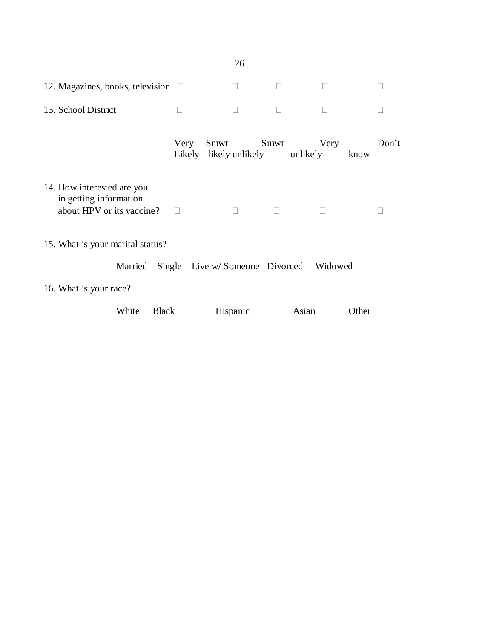|                                                                                   |                | 26                      |        |                  |               |  |
|-----------------------------------------------------------------------------------|----------------|-------------------------|--------|------------------|---------------|--|
| 12. Magazines, books, television $\square$                                        |                | $\Box$                  | П      | $\Box$           | $\Box$        |  |
| 13. School District                                                               | П              |                         | $\Box$ | П                |               |  |
|                                                                                   | Very<br>Likely | Smwt<br>likely unlikely | Smwt   | Very<br>unlikely | Don't<br>know |  |
| 14. How interested are you<br>in getting information<br>about HPV or its vaccine? | П              | $\Box$                  | $\Box$ | $\Box$           |               |  |
| 15. What is your marital status?                                                  |                |                         |        |                  |               |  |
| Single Live w/Someone Divorced<br>Married<br>Widowed                              |                |                         |        |                  |               |  |
| 16. What is your race?                                                            |                |                         |        |                  |               |  |
| White<br><b>Black</b>                                                             |                | Hispanic                |        | Asian            | Other         |  |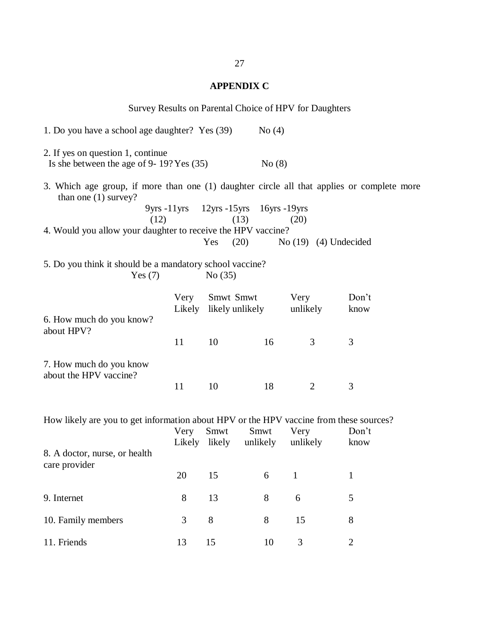## **APPENDIX C**

|                                                                                                                                                               |      |                                     |          | Survey Results on Parental Choice of HPV for Daughters |                      |  |  |  |
|---------------------------------------------------------------------------------------------------------------------------------------------------------------|------|-------------------------------------|----------|--------------------------------------------------------|----------------------|--|--|--|
| 1. Do you have a school age daughter? Yes (39)                                                                                                                |      |                                     | No $(4)$ |                                                        |                      |  |  |  |
| 2. If yes on question 1, continue<br>Is she between the age of 9- $19?$ Yes $(35)$                                                                            |      |                                     | No(8)    |                                                        |                      |  |  |  |
| 3. Which age group, if more than one (1) daughter circle all that applies or complete more<br>than one $(1)$ survey?<br>9yrs -11yrs 12yrs -15yrs 16yrs -19yrs |      |                                     |          |                                                        |                      |  |  |  |
| (12)<br>4. Would you allow your daughter to receive the HPV vaccine?                                                                                          |      | (13)<br>(20)<br>Yes                 |          | (20)<br>No $(19)$ $(4)$ Undecided                      |                      |  |  |  |
| 5. Do you think it should be a mandatory school vaccine?<br>Yes $(7)$<br>No(35)                                                                               |      |                                     |          |                                                        |                      |  |  |  |
| 6. How much do you know?<br>about HPV?                                                                                                                        | Very | Smwt Smwt<br>Likely likely unlikely |          | Very<br>unlikely                                       | Don't<br>know        |  |  |  |
|                                                                                                                                                               | 11   | 10                                  | 16       | 3                                                      | 3                    |  |  |  |
| 7. How much do you know<br>about the HPV vaccine?                                                                                                             | 11   | 10                                  | 18       | $\overline{2}$                                         | 3                    |  |  |  |
| How likely are you to get information about HPV or the HPV vaccine from these sources?<br>Very<br>Smwt<br>Smwt<br>Don't<br>Very<br>Likely likely<br>unlikely  |      |                                     |          |                                                        |                      |  |  |  |
| 8. A doctor, nurse, or health<br>care provider                                                                                                                | 20   | 15                                  | 6        | unlikely<br>$\mathbf{1}$                               | know<br>$\mathbf{1}$ |  |  |  |
| 9. Internet                                                                                                                                                   | 8    | 13                                  | $8\,$    | $\boldsymbol{6}$                                       | 5                    |  |  |  |
| 10. Family members                                                                                                                                            | 3    | 8                                   | 8        | 15                                                     | 8                    |  |  |  |
| 11. Friends                                                                                                                                                   | 13   | 15                                  | 10       | $\mathfrak{Z}$                                         | $\overline{2}$       |  |  |  |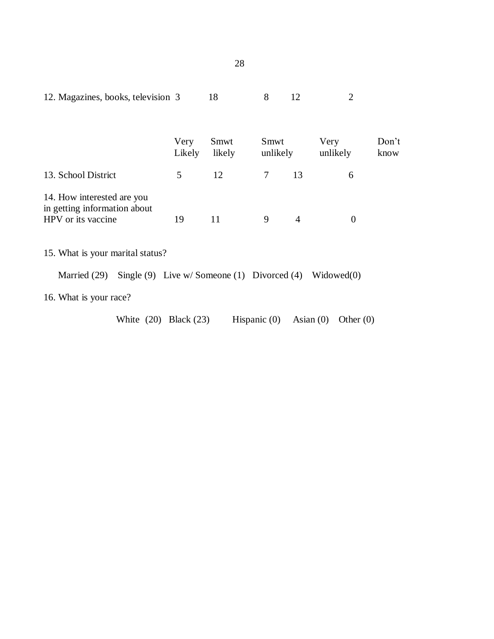| 12. Magazines, books, television 3                                               |                | 18             | 8                | 12             | $\overline{2}$   |               |
|----------------------------------------------------------------------------------|----------------|----------------|------------------|----------------|------------------|---------------|
|                                                                                  | Very<br>Likely | Smwt<br>likely | Smwt<br>unlikely |                | Very<br>unlikely | Don't<br>know |
| 13. School District                                                              | 5              | 12             | $\tau$           | 13             | 6                |               |
| 14. How interested are you<br>in getting information about<br>HPV or its vaccine | 19             | 11             | 9                | $\overline{4}$ | $\theta$         |               |
| 15. What is your marital status?                                                 |                |                |                  |                |                  |               |
| Single $(9)$ Live w/Someone $(1)$ Divorced $(4)$ Widowed $(0)$<br>Married (29)   |                |                |                  |                |                  |               |
| 16. What is your race?                                                           |                |                |                  |                |                  |               |
| White $(20)$ Black $(23)$                                                        |                |                | Hispanic $(0)$   | Asian $(0)$    | Other $(0)$      |               |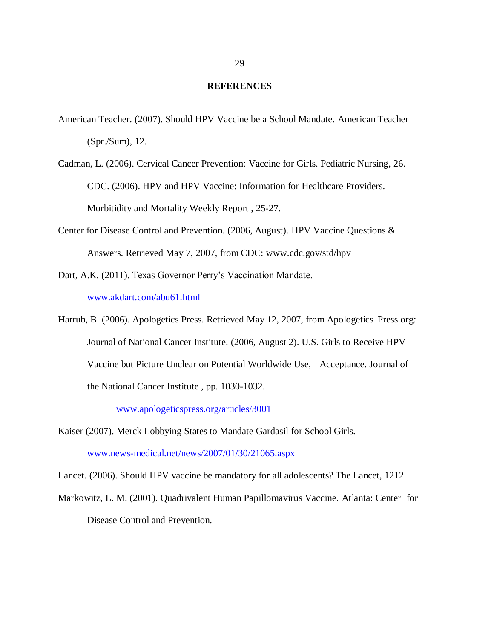#### **REFERENCES**

- American Teacher. (2007). Should HPV Vaccine be a School Mandate. American Teacher (Spr./Sum), 12.
- Cadman, L. (2006). Cervical Cancer Prevention: Vaccine for Girls. Pediatric Nursing, 26. CDC. (2006). HPV and HPV Vaccine: Information for Healthcare Providers. Morbitidity and Mortality Weekly Report , 25-27.
- Center for Disease Control and Prevention. (2006, August). HPV Vaccine Questions & Answers. Retrieved May 7, 2007, from CDC: www.cdc.gov/std/hpv
- Dart, A.K. (2011). Texas Governor Perry's Vaccination Mandate.

[www.akdart.com/abu61.html](http://www.akdart.com/abu61.html)

Harrub, B. (2006). Apologetics Press. Retrieved May 12, 2007, from Apologetics Press.org: Journal of National Cancer Institute. (2006, August 2). U.S. Girls to Receive HPV Vaccine but Picture Unclear on Potential Worldwide Use, Acceptance. Journal of the National Cancer Institute , pp. 1030-1032.

[www.apologeticspress.org/articles/3001](http://www.apologeticspress.org/articles/3001)

Kaiser (2007). Merck Lobbying States to Mandate Gardasil for School Girls. [www.news-medical.net/news/2007/01/30/21065.aspx](http://www.news-medical.net/news/2007/01/30/21065.aspx)

Lancet. (2006). Should HPV vaccine be mandatory for all adolescents? The Lancet, 1212.

Markowitz, L. M. (2001). Quadrivalent Human Papillomavirus Vaccine. Atlanta: Center for Disease Control and Prevention.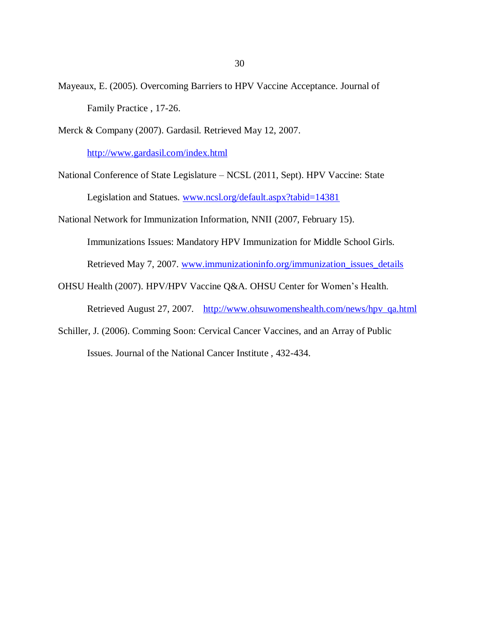- Mayeaux, E. (2005). Overcoming Barriers to HPV Vaccine Acceptance. Journal of Family Practice , 17-26.
- Merck & Company (2007). Gardasil. Retrieved May 12, 2007.

<http://www.gardasil.com/index.html>

National Conference of State Legislature – NCSL (2011, Sept). HPV Vaccine: State

Legislation and Statues. [www.ncsl.org/default.aspx?tabid=14381](http://www.ncsl.org/default.aspx?tabid=14381)

National Network for Immunization Information, NNII (2007, February 15).

Immunizations Issues: Mandatory HPV Immunization for Middle School Girls.

Retrieved May 7, 2007. [www.immunizationinfo.org/immunization\\_issues\\_details](http://www.immunizationinfo.org/immunization_issues_details)

OHSU Health (2007). HPV/HPV Vaccine Q&A. OHSU Center for Women's Health.

Retrieved August 27, 2007. [http://www.ohsuwomenshealth.com/news/hpv\\_qa.html](http://www.ohsuwomenshealth.com/news/hpv_qa.html)

Schiller, J. (2006). Comming Soon: Cervical Cancer Vaccines, and an Array of Public Issues. Journal of the National Cancer Institute , 432-434.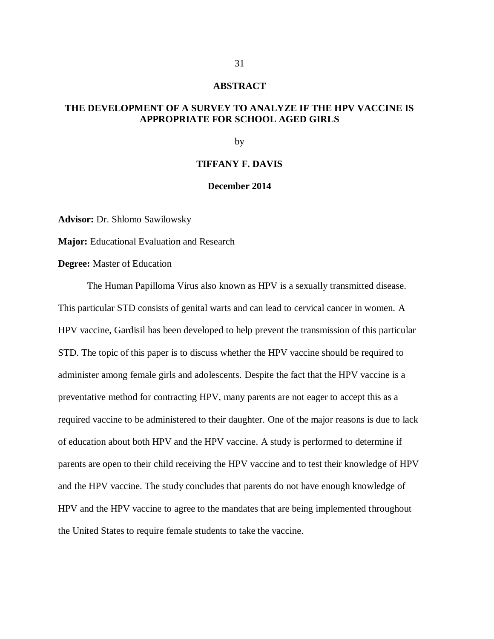#### **ABSTRACT**

## **THE DEVELOPMENT OF A SURVEY TO ANALYZE IF THE HPV VACCINE IS APPROPRIATE FOR SCHOOL AGED GIRLS**

by

#### **TIFFANY F. DAVIS**

#### **December 2014**

**Advisor:** Dr. Shlomo Sawilowsky

**Major:** Educational Evaluation and Research

**Degree:** Master of Education

The Human Papilloma Virus also known as HPV is a sexually transmitted disease. This particular STD consists of genital warts and can lead to cervical cancer in women. A HPV vaccine, Gardisil has been developed to help prevent the transmission of this particular STD. The topic of this paper is to discuss whether the HPV vaccine should be required to administer among female girls and adolescents. Despite the fact that the HPV vaccine is a preventative method for contracting HPV, many parents are not eager to accept this as a required vaccine to be administered to their daughter. One of the major reasons is due to lack of education about both HPV and the HPV vaccine. A study is performed to determine if parents are open to their child receiving the HPV vaccine and to test their knowledge of HPV and the HPV vaccine. The study concludes that parents do not have enough knowledge of HPV and the HPV vaccine to agree to the mandates that are being implemented throughout the United States to require female students to take the vaccine.